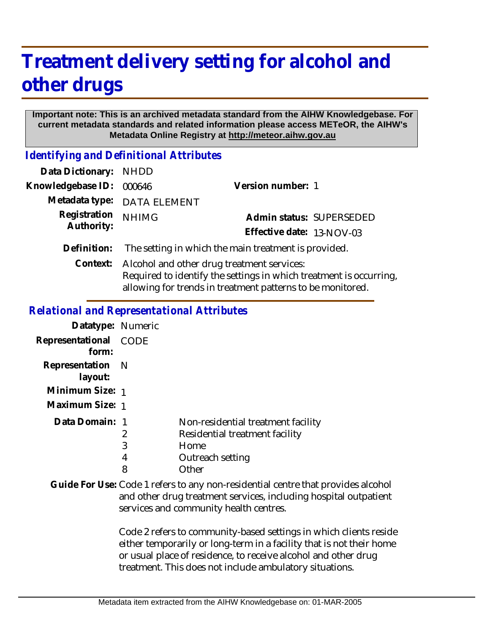## **Treatment delivery setting for alcohol and other drugs**

## **Important note: This is an archived metadata standard from the AIHW Knowledgebase. For current metadata standards and related information please access METeOR, the AIHW's Metadata Online Registry at http://meteor.aihw.gov.au**

*Identifying and Definitional Attributes*

| Data Dictionary: NHDD      |                                                                                                                                                                                |                           |
|----------------------------|--------------------------------------------------------------------------------------------------------------------------------------------------------------------------------|---------------------------|
| Knowledgebase ID:          | 000646                                                                                                                                                                         | Version number: 1         |
|                            | Metadata type: DATA ELEMENT                                                                                                                                                    |                           |
| Registration<br>Authority: | <b>NHIMG</b>                                                                                                                                                                   | Admin status: SUPERSEDED  |
|                            |                                                                                                                                                                                | Effective date: 13-NOV-03 |
| Definition:                | The setting in which the main treatment is provided.                                                                                                                           |                           |
| Context:                   | Alcohol and other drug treatment services:<br>Required to identify the settings in which treatment is occurring,<br>allowing for trends in treatment patterns to be monitored. |                           |

*Relational and Representational Attributes*

| Datatype: Numeric              |                  |                                                                                                           |
|--------------------------------|------------------|-----------------------------------------------------------------------------------------------------------|
| Representational CODE<br>form: |                  |                                                                                                           |
| Representation N<br>layout:    |                  |                                                                                                           |
| Minimum Size: 1                |                  |                                                                                                           |
| Maximum Size: 1                |                  |                                                                                                           |
| Data Domain: 1                 | 2<br>3<br>4<br>8 | Non-residential treatment facility<br>Residential treatment facility<br>Home<br>Outreach setting<br>Other |

Guide For Use: Code 1 refers to any non-residential centre that provides alcohol and other drug treatment services, including hospital outpatient services and community health centres.

> Code 2 refers to community-based settings in which clients reside either temporarily or long-term in a facility that is not their home or usual place of residence, to receive alcohol and other drug treatment. This does not include ambulatory situations.